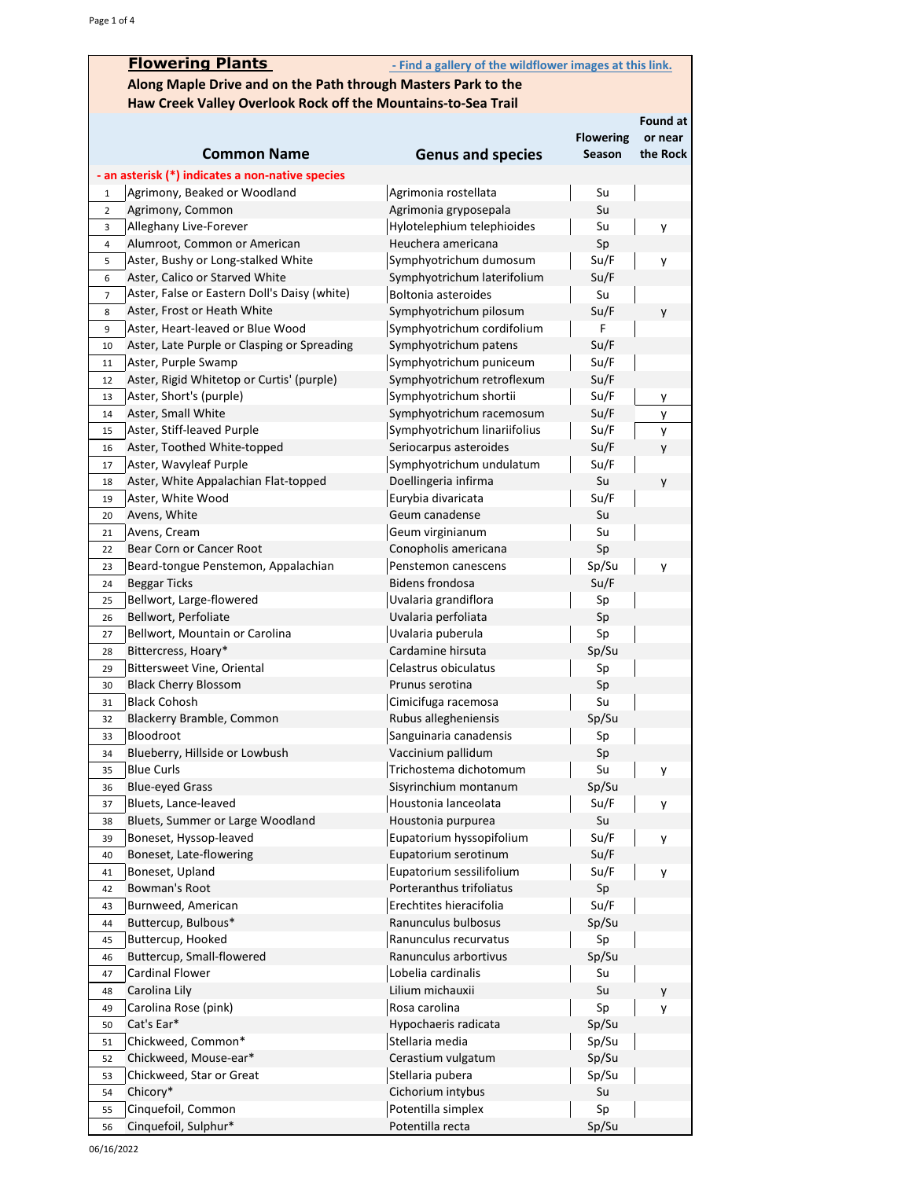|                | <b>Flowering Plants</b>                                       | - Find a gallery of the wildflower images at this link. |                  |                 |
|----------------|---------------------------------------------------------------|---------------------------------------------------------|------------------|-----------------|
|                | Along Maple Drive and on the Path through Masters Park to the |                                                         |                  |                 |
|                | Haw Creek Valley Overlook Rock off the Mountains-to-Sea Trail |                                                         |                  |                 |
|                |                                                               |                                                         |                  | <b>Found at</b> |
|                |                                                               |                                                         | <b>Flowering</b> | or near         |
|                | <b>Common Name</b>                                            | <b>Genus and species</b>                                | Season           | the Rock        |
|                | - an asterisk (*) indicates a non-native species              |                                                         |                  |                 |
| $\mathbf 1$    | Agrimony, Beaked or Woodland                                  | Agrimonia rostellata                                    | Su               |                 |
| $\overline{2}$ | Agrimony, Common                                              | Agrimonia gryposepala                                   | Su               |                 |
| 3              | Alleghany Live-Forever                                        | Hylotelephium telephioides                              | Su               | y               |
| 4              | Alumroot, Common or American                                  | Heuchera americana                                      | Sp               |                 |
| 5              | Aster, Bushy or Long-stalked White                            | Symphyotrichum dumosum                                  | Su/F             | y               |
| 6              | Aster, Calico or Starved White                                | Symphyotrichum laterifolium                             | Su/F             |                 |
| $\overline{7}$ | Aster, False or Eastern Doll's Daisy (white)                  | Boltonia asteroides                                     | Su               |                 |
| 8              | Aster, Frost or Heath White                                   | Symphyotrichum pilosum                                  | Su/F             | y               |
| 9              | Aster, Heart-leaved or Blue Wood                              | Symphyotrichum cordifolium                              | F                |                 |
| 10             | Aster, Late Purple or Clasping or Spreading                   | Symphyotrichum patens                                   | Su/F             |                 |
| 11             | Aster, Purple Swamp                                           | Symphyotrichum puniceum                                 | Su/F             |                 |
| 12             | Aster, Rigid Whitetop or Curtis' (purple)                     | Symphyotrichum retroflexum                              | Su/F             |                 |
| 13             | Aster, Short's (purple)                                       | Symphyotrichum shortii                                  | Su/F             | y               |
| 14             | Aster, Small White                                            | Symphyotrichum racemosum                                | Su/F             | у               |
| 15             | Aster, Stiff-leaved Purple                                    | Symphyotrichum linariifolius                            | Su/F<br>Su/F     | У               |
| 16             | Aster, Toothed White-topped<br>Aster, Wavyleaf Purple         | Seriocarpus asteroides<br>Symphyotrichum undulatum      | Su/F             | у               |
| 17             | Aster, White Appalachian Flat-topped                          | Doellingeria infirma                                    | Su               |                 |
| 18<br>19       | Aster, White Wood                                             | Eurybia divaricata                                      | Su/F             | y               |
| 20             | Avens, White                                                  | Geum canadense                                          | Su               |                 |
| 21             | Avens, Cream                                                  | Geum virginianum                                        | Su               |                 |
| 22             | Bear Corn or Cancer Root                                      | Conopholis americana                                    | Sp               |                 |
| 23             | Beard-tongue Penstemon, Appalachian                           | Penstemon canescens                                     | Sp/Su            | y               |
| 24             | Beggar Ticks                                                  | <b>Bidens frondosa</b>                                  | Su/F             |                 |
| 25             | Bellwort, Large-flowered                                      | Uvalaria grandiflora                                    | Sp               |                 |
| 26             | Bellwort, Perfoliate                                          | Uvalaria perfoliata                                     | Sp               |                 |
| 27             | Bellwort, Mountain or Carolina                                | Uvalaria puberula                                       | Sp               |                 |
| 28             | Bittercress, Hoary*                                           | Cardamine hirsuta                                       | Sp/Su            |                 |
| 29             | <b>Bittersweet Vine, Oriental</b>                             | Celastrus obiculatus                                    | Sp               |                 |
| 30             | <b>Black Cherry Blossom</b>                                   | Prunus serotina                                         | Sp               |                 |
| 31             | <b>Black Cohosh</b>                                           | Cimicifuga racemosa                                     | Su               |                 |
| 32             | Blackerry Bramble, Common                                     | Rubus allegheniensis                                    | Sp/Su            |                 |
| 33             | Bloodroot                                                     | Sanguinaria canadensis                                  | Sp               |                 |
| 34             | Blueberry, Hillside or Lowbush                                | Vaccinium pallidum                                      | Sp               |                 |
| 35             | <b>Blue Curls</b>                                             | Trichostema dichotomum                                  | Su               | y               |
| 36             | <b>Blue-eyed Grass</b>                                        | Sisyrinchium montanum                                   | Sp/Su            |                 |
| 37             | Bluets, Lance-leaved                                          | Houstonia lanceolata                                    | Su/F             | y               |
| 38             | Bluets, Summer or Large Woodland                              | Houstonia purpurea                                      | Su               |                 |
| 39             | Boneset, Hyssop-leaved                                        | Eupatorium hyssopifolium                                | Su/F             | у               |
| 40             | Boneset, Late-flowering                                       | Eupatorium serotinum                                    | Su/F             |                 |
| 41<br>42       | Boneset, Upland<br>Bowman's Root                              | Eupatorium sessilifolium<br>Porteranthus trifoliatus    | Su/F<br>Sp       | у               |
| 43             | Burnweed, American                                            | Erechtites hieracifolia                                 | Su/F             |                 |
| 44             | Buttercup, Bulbous*                                           | Ranunculus bulbosus                                     | Sp/Su            |                 |
| 45             | Buttercup, Hooked                                             | Ranunculus recurvatus                                   | Sp               |                 |
| 46             | Buttercup, Small-flowered                                     | Ranunculus arbortivus                                   | Sp/Su            |                 |
| 47             | <b>Cardinal Flower</b>                                        | Lobelia cardinalis                                      | Su               |                 |
| 48             | Carolina Lily                                                 | Lilium michauxii                                        | Su               | y               |
| 49             | Carolina Rose (pink)                                          | Rosa carolina                                           | Sp               | у               |
| 50             | Cat's Ear*                                                    | Hypochaeris radicata                                    | Sp/Su            |                 |
| 51             | Chickweed, Common*                                            | Stellaria media                                         | Sp/Su            |                 |
| 52             | Chickweed, Mouse-ear*                                         | Cerastium vulgatum                                      | Sp/Su            |                 |
| 53             | Chickweed, Star or Great                                      | Stellaria pubera                                        | Sp/Su            |                 |
| 54             | Chicory*                                                      | Cichorium intybus                                       | Su               |                 |
| 55             | Cinquefoil, Common                                            | Potentilla simplex                                      | Sp               |                 |
| 56             | Cinquefoil, Sulphur*                                          | Potentilla recta                                        | Sp/Su            |                 |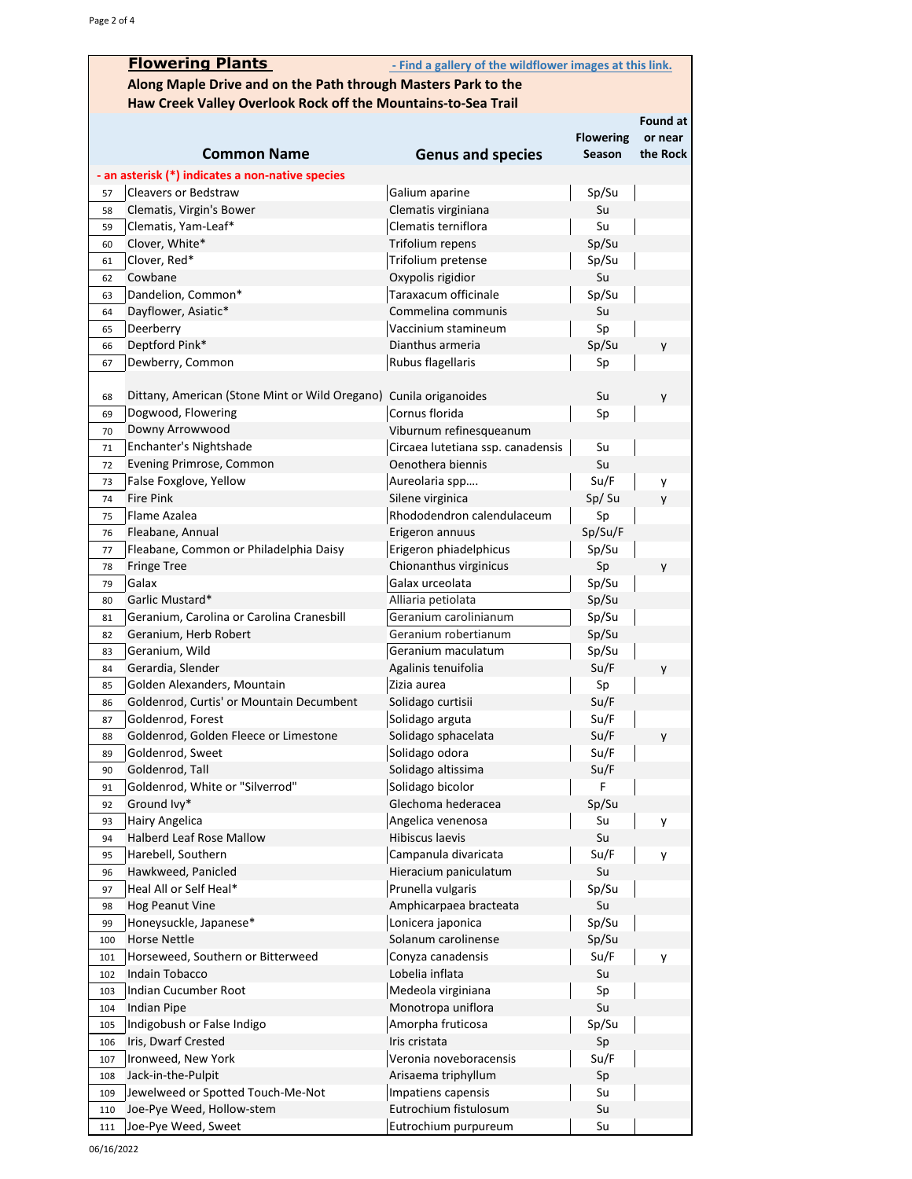|          | <b>Flowering Plants</b>                                           | - Find a gallery of the wildflower images at this link. |                  |          |
|----------|-------------------------------------------------------------------|---------------------------------------------------------|------------------|----------|
|          | Along Maple Drive and on the Path through Masters Park to the     |                                                         |                  |          |
|          | Haw Creek Valley Overlook Rock off the Mountains-to-Sea Trail     |                                                         |                  |          |
|          |                                                                   |                                                         |                  | Found at |
|          |                                                                   |                                                         | <b>Flowering</b> | or near  |
|          | <b>Common Name</b>                                                | <b>Genus and species</b>                                | Season           | the Rock |
|          |                                                                   |                                                         |                  |          |
|          | - an asterisk (*) indicates a non-native species                  |                                                         |                  |          |
| 57       | Cleavers or Bedstraw                                              | Galium aparine                                          | Sp/Su            |          |
| 58       | Clematis, Virgin's Bower                                          | Clematis virginiana<br>Clematis terniflora              | Su<br>Su         |          |
| 59       | Clematis, Yam-Leaf*<br>Clover, White*                             | Trifolium repens                                        | Sp/Su            |          |
| 60<br>61 | Clover, Red*                                                      | Trifolium pretense                                      | Sp/Su            |          |
| 62       | Cowbane                                                           | Oxypolis rigidior                                       | Su               |          |
| 63       | Dandelion, Common*                                                | Taraxacum officinale                                    | Sp/Su            |          |
| 64       | Dayflower, Asiatic*                                               | Commelina communis                                      | Su               |          |
| 65       | Deerberry                                                         | Vaccinium stamineum                                     | Sp               |          |
| 66       | Deptford Pink*                                                    | Dianthus armeria                                        | Sp/Su            | y        |
| 67       | Dewberry, Common                                                  | Rubus flagellaris                                       | Sp               |          |
|          |                                                                   |                                                         |                  |          |
| 68       | Dittany, American (Stone Mint or Wild Oregano) Cunila origanoides |                                                         | Su               | y        |
| 69       | Dogwood, Flowering                                                | Cornus florida                                          | Sp               |          |
| 70       | Downy Arrowwood                                                   | Viburnum refinesqueanum                                 |                  |          |
| 71       | Enchanter's Nightshade                                            | Circaea lutetiana ssp. canadensis                       | Su               |          |
| 72       | Evening Primrose, Common                                          | Oenothera biennis                                       | Su               |          |
| 73       | False Foxglove, Yellow                                            | Aureolaria spp                                          | Su/F             | у        |
| 74       | <b>Fire Pink</b>                                                  | Silene virginica                                        | Sp/Su            | y        |
| 75       | Flame Azalea                                                      | Rhododendron calendulaceum                              | Sp               |          |
| 76       | Fleabane, Annual                                                  | Erigeron annuus                                         | Sp/Su/F          |          |
| 77       | Fleabane, Common or Philadelphia Daisy                            | Erigeron phiadelphicus                                  | Sp/Su            |          |
| 78       | <b>Fringe Tree</b>                                                | Chionanthus virginicus                                  | Sp               | y        |
| 79       | Galax                                                             | Galax urceolata                                         | Sp/Su            |          |
| 80       | Garlic Mustard*                                                   | Alliaria petiolata                                      | Sp/Su            |          |
| 81       | Geranium, Carolina or Carolina Cranesbill                         | Geranium carolinianum                                   | Sp/Su            |          |
| 82       | Geranium, Herb Robert                                             | Geranium robertianum                                    | Sp/Su            |          |
| 83       | Geranium, Wild                                                    | Geranium maculatum                                      | Sp/Su            |          |
| 84       | Gerardia, Slender                                                 | Agalinis tenuifolia                                     | Su/F             | y        |
| 85       | Golden Alexanders, Mountain                                       | Zizia aurea                                             | Sp               |          |
| 86       | Goldenrod, Curtis' or Mountain Decumbent                          | Solidago curtisii                                       | Su/F             |          |
| 87       | Goldenrod, Forest                                                 | Solidago arguta                                         | Su/F             |          |
| 88       | Goldenrod, Golden Fleece or Limestone                             | Solidago sphacelata                                     | Su/F             | y        |
| 89       | Goldenrod, Sweet                                                  | Solidago odora                                          | Su/F             |          |
| 90       | Goldenrod, Tall                                                   | Solidago altissima                                      | Su/F             |          |
| 91       | Goldenrod, White or "Silverrod"                                   | Solidago bicolor                                        | F                |          |
| 92       | Ground Ivy*                                                       | Glechoma hederacea                                      | Sp/Su            |          |
| 93       | Hairy Angelica                                                    | Angelica venenosa                                       | Su               | y        |
| 94       | Halberd Leaf Rose Mallow                                          | Hibiscus laevis                                         | Su               |          |
| 95       | Harebell, Southern                                                | Campanula divaricata                                    | Su/F             | y        |
| 96       | Hawkweed, Panicled                                                | Hieracium paniculatum                                   | Su               |          |
| 97       | Heal All or Self Heal*                                            | Prunella vulgaris                                       | Sp/Su            |          |
| 98       | <b>Hog Peanut Vine</b>                                            | Amphicarpaea bracteata                                  | Su               |          |
| 99       | Honeysuckle, Japanese*                                            | Lonicera japonica                                       | Sp/Su            |          |
| 100      | <b>Horse Nettle</b>                                               | Solanum carolinense                                     | Sp/Su            |          |
| 101      | Horseweed, Southern or Bitterweed                                 | Conyza canadensis                                       | Su/F             | у        |
| 102      | Indain Tobacco                                                    | Lobelia inflata                                         | Su               |          |
| 103      | Indian Cucumber Root                                              | Medeola virginiana                                      | Sp               |          |
| 104      | Indian Pipe                                                       | Monotropa uniflora                                      | Su               |          |
| 105      | Indigobush or False Indigo                                        | Amorpha fruticosa                                       | Sp/Su            |          |
| 106      | Iris, Dwarf Crested                                               | Iris cristata                                           | Sp               |          |
| 107      | Ironweed, New York                                                | Veronia noveboracensis                                  | Su/F             |          |
| 108      | Jack-in-the-Pulpit                                                | Arisaema triphyllum                                     | Sp               |          |
| 109      | Jewelweed or Spotted Touch-Me-Not                                 | Impatiens capensis                                      | Su               |          |
| 110      | Joe-Pye Weed, Hollow-stem                                         | Eutrochium fistulosum                                   | Su               |          |
| 111      | Joe-Pye Weed, Sweet                                               | Eutrochium purpureum                                    | Su               |          |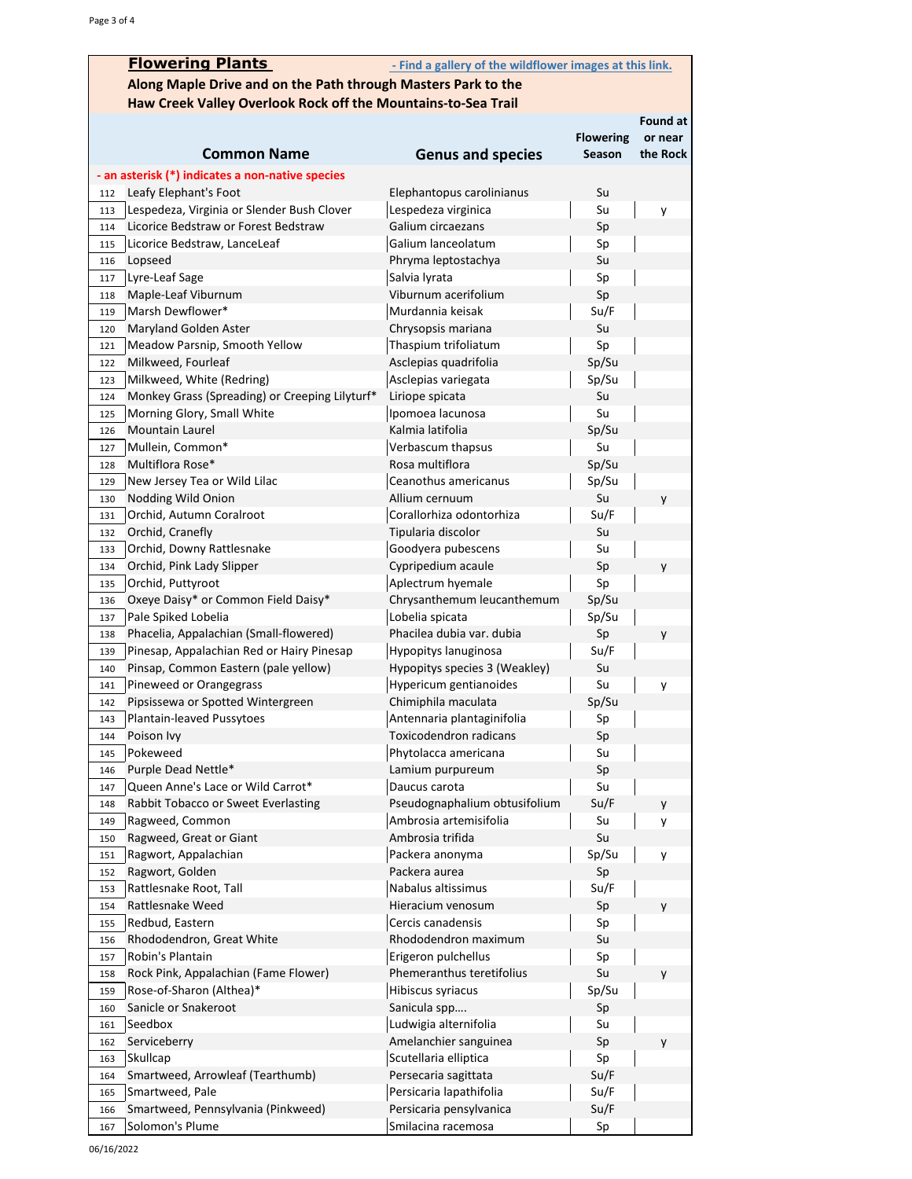|                                                               | <b>Flowering Plants</b>                                       | - Find a gallery of the wildflower images at this link. |                  |          |
|---------------------------------------------------------------|---------------------------------------------------------------|---------------------------------------------------------|------------------|----------|
| Along Maple Drive and on the Path through Masters Park to the |                                                               |                                                         |                  |          |
|                                                               | Haw Creek Valley Overlook Rock off the Mountains-to-Sea Trail |                                                         |                  |          |
|                                                               |                                                               |                                                         |                  | Found at |
|                                                               |                                                               |                                                         | <b>Flowering</b> | or near  |
|                                                               | <b>Common Name</b>                                            | <b>Genus and species</b>                                | Season           | the Rock |
|                                                               | - an asterisk (*) indicates a non-native species              |                                                         |                  |          |
| 112                                                           | Leafy Elephant's Foot                                         | Elephantopus carolinianus                               | Su               |          |
| 113                                                           | Lespedeza, Virginia or Slender Bush Clover                    | Lespedeza virginica                                     | Su               | y        |
| 114                                                           | Licorice Bedstraw or Forest Bedstraw                          | Galium circaezans                                       | Sp               |          |
| 115                                                           | Licorice Bedstraw, LanceLeaf                                  | Galium lanceolatum                                      | Sp               |          |
| Lopseed<br>116                                                |                                                               | Phryma leptostachya                                     | Su               |          |
| Lyre-Leaf Sage<br>117                                         |                                                               | Salvia lyrata                                           | Sp               |          |
| 118                                                           | Maple-Leaf Viburnum                                           | Viburnum acerifolium                                    | Sp               |          |
| 119                                                           | Marsh Dewflower*                                              | Murdannia keisak                                        | Su/F             |          |
| 120                                                           | Maryland Golden Aster                                         | Chrysopsis mariana                                      | Su               |          |
| 121                                                           | Meadow Parsnip, Smooth Yellow                                 | Thaspium trifoliatum                                    | Sp               |          |
| 122                                                           | Milkweed, Fourleaf                                            | Asclepias quadrifolia                                   | Sp/Su            |          |
| 123                                                           | Milkweed, White (Redring)                                     | Asclepias variegata                                     | Sp/Su            |          |
| 124                                                           | Monkey Grass (Spreading) or Creeping Lilyturf*                | Liriope spicata                                         | Su               |          |
| 125                                                           | Morning Glory, Small White                                    | Ipomoea lacunosa                                        | Su               |          |
| Mountain Laurel<br>126                                        |                                                               | Kalmia latifolia                                        | Sp/Su            |          |
| 127                                                           | Mullein, Common*                                              | Verbascum thapsus                                       | Su               |          |
| Multiflora Rose*<br>128                                       |                                                               | Rosa multiflora                                         | Sp/Su            |          |
| 129                                                           | New Jersey Tea or Wild Lilac                                  | Ceanothus americanus                                    | Sp/Su            |          |
| 130                                                           | Nodding Wild Onion                                            | Allium cernuum                                          | Su               | y        |
| 131                                                           | Orchid, Autumn Coralroot                                      | Corallorhiza odontorhiza                                | Su/F             |          |
| Orchid, Cranefly<br>132                                       |                                                               | Tipularia discolor                                      | Su               |          |
| 133                                                           | Orchid, Downy Rattlesnake                                     | Goodyera pubescens                                      | Su               |          |
| 134                                                           | Orchid, Pink Lady Slipper                                     | Cypripedium acaule                                      | Sp               | y        |
| 135                                                           | Orchid, Puttyroot                                             | Aplectrum hyemale                                       | Sp               |          |
| 136                                                           | Oxeye Daisy* or Common Field Daisy*                           | Chrysanthemum leucanthemum                              | Sp/Su            |          |
| 137                                                           | Pale Spiked Lobelia                                           | Lobelia spicata                                         | Sp/Su            |          |
| 138                                                           | Phacelia, Appalachian (Small-flowered)                        | Phacilea dubia var. dubia                               | Sp               | y        |
| 139                                                           | Pinesap, Appalachian Red or Hairy Pinesap                     | Hypopitys lanuginosa                                    | Su/F             |          |
| 140                                                           | Pinsap, Common Eastern (pale yellow)                          | Hypopitys species 3 (Weakley)                           | Su               |          |
| 141                                                           | Pineweed or Orangegrass                                       | Hypericum gentianoides                                  | Su               | у        |
| 142                                                           | Pipsissewa or Spotted Wintergreen                             | Chimiphila maculata                                     | Sp/Su            |          |
| 143                                                           | Plantain-leaved Pussytoes                                     | Antennaria plantaginifolia                              | Sp               |          |
| Poison Ivy<br>144<br>Pokeweed<br>145                          |                                                               | Toxicodendron radicans<br>Phytolacca americana          | Sp<br>Su         |          |
| 146                                                           | Purple Dead Nettle*                                           | Lamium purpureum                                        | Sp               |          |
| 147                                                           | Queen Anne's Lace or Wild Carrot*                             | Daucus carota                                           | Su               |          |
| 148                                                           | Rabbit Tobacco or Sweet Everlasting                           | Pseudognaphalium obtusifolium                           | Su/F             |          |
| 149                                                           | Ragweed, Common                                               | Ambrosia artemisifolia                                  | Su               | y<br>y   |
| 150                                                           | Ragweed, Great or Giant                                       | Ambrosia trifida                                        | Su               |          |
| 151                                                           | Ragwort, Appalachian                                          | Packera anonyma                                         | Sp/Su            | y        |
| Ragwort, Golden<br>152                                        |                                                               | Packera aurea                                           | Sp               |          |
| 153                                                           | Rattlesnake Root, Tall                                        | Nabalus altissimus                                      | Su/F             |          |
| 154                                                           | Rattlesnake Weed                                              | Hieracium venosum                                       | Sp               | y        |
| Redbud, Eastern<br>155                                        |                                                               | Cercis canadensis                                       | Sp               |          |
| 156                                                           | Rhododendron, Great White                                     | Rhododendron maximum                                    | Su               |          |
| Robin's Plantain<br>157                                       |                                                               | Erigeron pulchellus                                     | Sp               |          |
| 158                                                           | Rock Pink, Appalachian (Fame Flower)                          | Phemeranthus teretifolius                               | Su               | y        |
| 159                                                           | Rose-of-Sharon (Althea)*                                      | Hibiscus syriacus                                       | Sp/Su            |          |
| 160                                                           | Sanicle or Snakeroot                                          | Sanicula spp                                            | Sp               |          |
| Seedbox<br>161                                                |                                                               | Ludwigia alternifolia                                   | Su               |          |
| Serviceberry<br>162                                           |                                                               | Amelanchier sanguinea                                   | Sp               | y        |
| <b>Skullcap</b><br>163                                        |                                                               | Scutellaria elliptica                                   | Sp               |          |
| 164                                                           | Smartweed, Arrowleaf (Tearthumb)                              | Persecaria sagittata                                    | Su/F             |          |
| Smartweed, Pale<br>165                                        |                                                               | Persicaria lapathifolia                                 | Su/F             |          |
| 166                                                           | Smartweed, Pennsylvania (Pinkweed)                            | Persicaria pensylvanica                                 | Su/F             |          |
| Solomon's Plume<br>167                                        |                                                               | Smilacina racemosa                                      | Sp               |          |